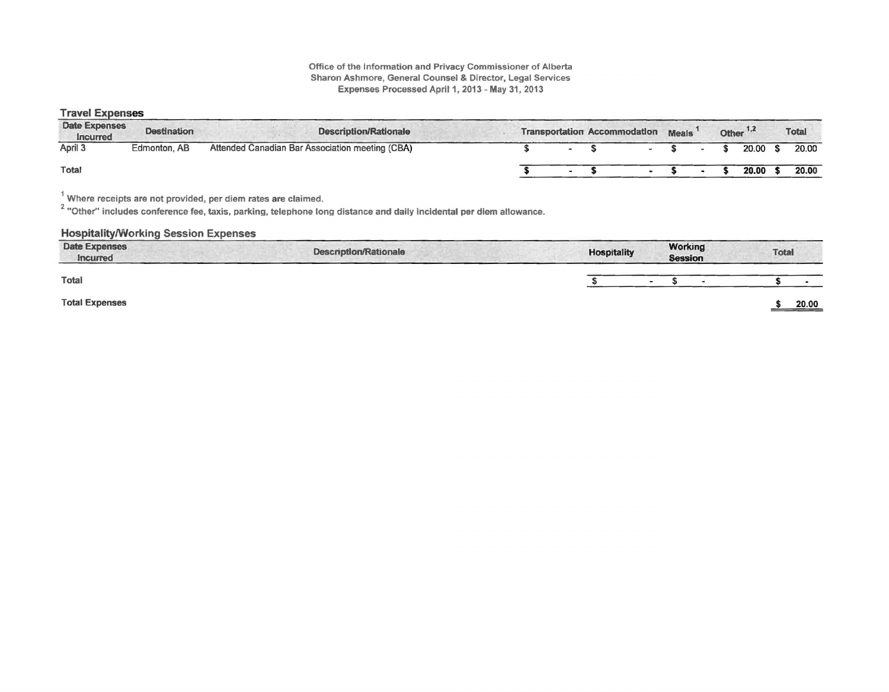#### Office of the Information and Privacy Commissioner of Alberta Sharon Ashmore, General Counsel & Director, Legal Services Expenses Processed April 1, 2013 - May 31, 2013

#### Travel Expenses

| <b>Date Expenses</b><br><b>Incurred</b> | <b>Destination</b> | <b>Description/Rationale</b>                    |  | <b>Transportation Accommodation</b> | <b>Meals</b> |  | Other <sup>1,2</sup> | <b>Total</b> |
|-----------------------------------------|--------------------|-------------------------------------------------|--|-------------------------------------|--------------|--|----------------------|--------------|
| April 3                                 | Edmonton, AB       | Attended Canadian Bar Association meeting (CBA) |  |                                     |              |  | 20.00                | 20.00        |
| <b>Total</b>                            |                    |                                                 |  |                                     |              |  | 20.00                | 20.00        |

 $^1$  Where receipts are not provided, per diem rates are claimed.<br><sup>2</sup> "Other" includes conference fee, taxis, parking, telephone long distance and daily incidental per diem allowance.

# Hospitality/Working Session Expenses

| <b>Date Expenses</b><br>Incurred | <b>Description/Rationale</b> | <b>Hospitality</b> |        | Working<br><b>Session</b> |  | <b>Total</b> |       |
|----------------------------------|------------------------------|--------------------|--------|---------------------------|--|--------------|-------|
| Total                            |                              |                    | $\sim$ |                           |  |              |       |
| <b>Total Expenses</b>            |                              |                    |        |                           |  |              | 20.00 |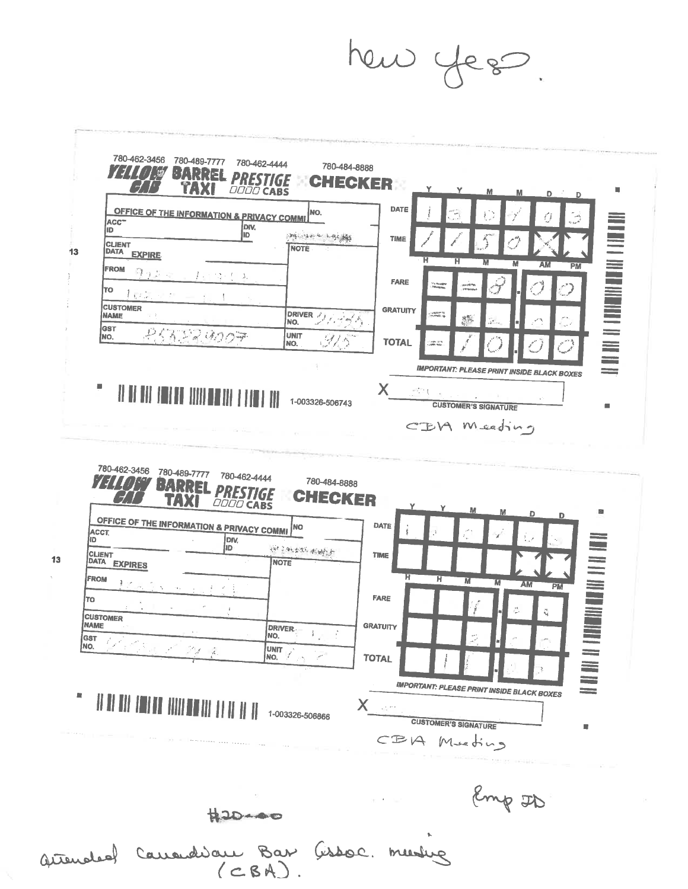hew yes



 $13$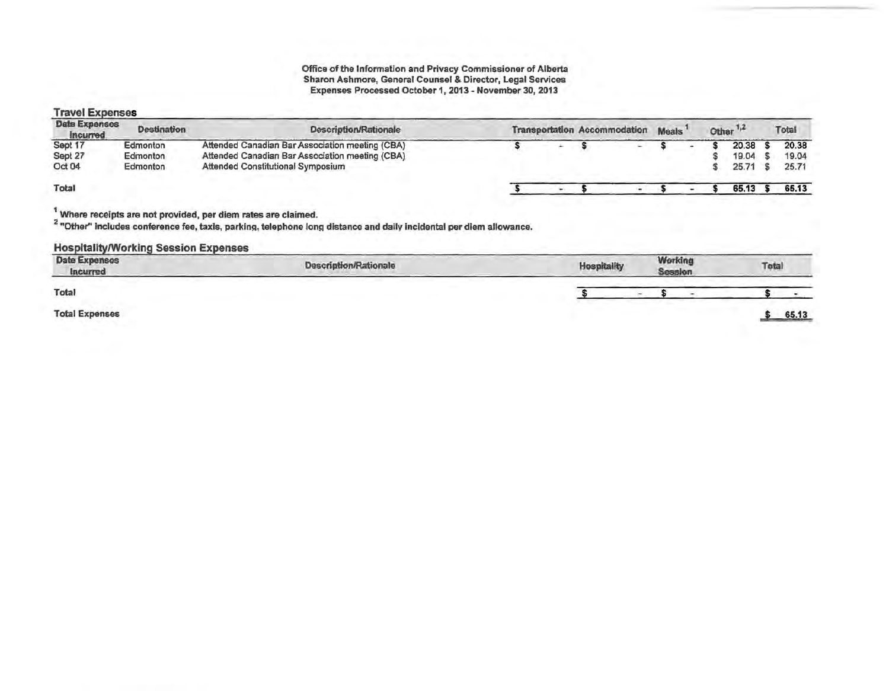# Travel Expenses

| <b>Date Expenses</b><br><b>Incurred</b> | <b>Destination</b>               | <b>Description/Rationale</b>                                                                                                            |  | <b>Transportation Accommodation</b> |        | <b>Meals</b> |  | Other $1,2$             | Total                   |
|-----------------------------------------|----------------------------------|-----------------------------------------------------------------------------------------------------------------------------------------|--|-------------------------------------|--------|--------------|--|-------------------------|-------------------------|
| Sept 17<br>Sept 27<br>Oct 04            | Edmonton<br>Edmonton<br>Edmonton | Attended Canadian Bar Association meeting (CBA)<br>Attended Canadian Bar Association meeting (CBA)<br>Attended Constitutional Symposium |  |                                     | $\sim$ |              |  | 20.38<br>19.04<br>25.71 | 20.38<br>19.04<br>25.71 |
| Total                                   |                                  |                                                                                                                                         |  |                                     |        |              |  | 65.13                   | 65.13                   |

<sup>1</sup> Where receipts are not provided, per diem rates are claimed.<br><sup>2</sup> "Other" includes conference fee, taxis, parking, telephone long distance and daily incidental per diem allowance.

#### Hospitality/Working Session Expenses

| <b>Date Expenses</b><br>Incurred | Description/Rationale | <b>Hospitality</b> | Working<br>Session | Total |
|----------------------------------|-----------------------|--------------------|--------------------|-------|
| Total                            |                       |                    |                    |       |
| <b>Total Expenses</b>            |                       |                    |                    | 65.13 |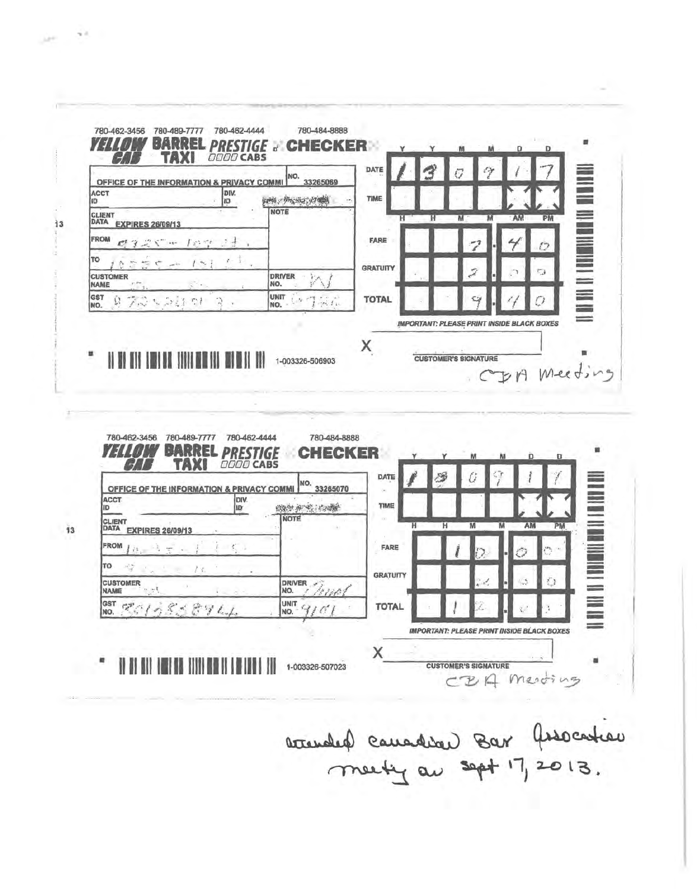

廖 DATE Û NO. 33265070 OFFICE OF THE INFORMATION & PRIVACY COMMI ACCT<br>ID DIV.<br>IDY TIME **《海生和·安·安·** CLIENT<br>DATA EXPIRES 26/09/13 **NOTE** AM PM  $\overline{\mathsf{M}}$ π π  $\overline{\mathbf{M}}$ FROM  $\mathcal{C}^{\leftarrow}$  . FARE TO  $\mathcal{A}^{\rm eff}_{\rm eff}$ **GRATUITY CUSTOMER DRIVER** NO. **NAME** E<br>E UNIT<sub>C</sub> GST ECLASSETL **TOTAL** NO. **IMPORTANT: PLEASE PRINT INSIDE BLACK BOXES** X

1-003326-507023

*IT BY GLY THREE GR. TITTE HE IT I METHOD. THE* 

 $\sim$  3

 $13$ 

**ART** 

**CUSTOMER'S SIGNATURE** CBA Mesoing

accended cauadian Bar Association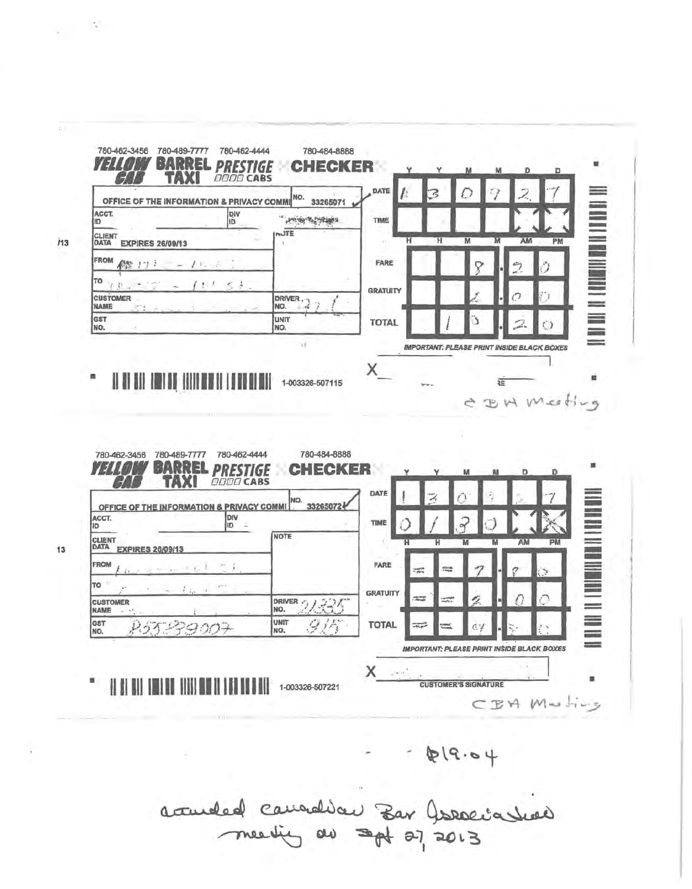

 $619.04$ 

accurded canadian Bar Jordinal

13

 $\epsilon_{\rm c}$  .

 $\mathbb{C}$  .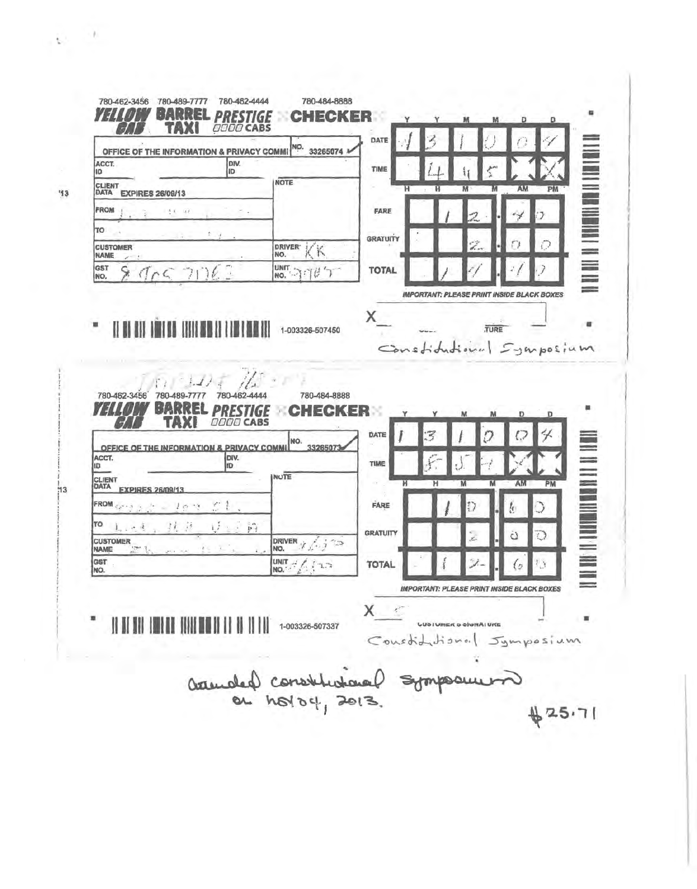| OFFICE OF THE INFORMATION & PRIVACY COMM                                                                              | <i>0000</i> CABS                                    | NO.<br>33265074                | DATE                           |                                                   |         |    |                                                                                                                                                                                                                                |
|-----------------------------------------------------------------------------------------------------------------------|-----------------------------------------------------|--------------------------------|--------------------------------|---------------------------------------------------|---------|----|--------------------------------------------------------------------------------------------------------------------------------------------------------------------------------------------------------------------------------|
| ACCT.<br>10                                                                                                           | DIV.<br>1D                                          |                                | TIME                           |                                                   |         |    |                                                                                                                                                                                                                                |
| <b>CLIENT</b><br>DATA<br><b>EXPIRES 26/09/13</b>                                                                      | <b>NOTE</b>                                         |                                |                                | н<br>М                                            | AM      | PM | 【1】 【1】 】 【1】 】 【1】 】 【1】 】 【1】 】 【1】 】 【1】 】 【1】 】 【1】 】 【1】 】 【1】 】 【1】 】 【1】 【                                                                                                                                              |
| FROM<br>$\frac{1}{2}$<br>$1 - 1$                                                                                      |                                                     |                                | <b>FARE</b>                    |                                                   |         |    |                                                                                                                                                                                                                                |
| TO                                                                                                                    |                                                     |                                |                                |                                                   |         |    |                                                                                                                                                                                                                                |
| <b>CUSTOMER</b><br><b>NAME</b>                                                                                        | <b>DRIVER</b><br>NO.                                | Κ                              | <b>GRATUITY</b>                |                                                   |         |    |                                                                                                                                                                                                                                |
| GST<br>9057062<br>INO.                                                                                                | <b>UNIT</b>                                         | <b>NO. 770</b>                 | <b>TOTAL</b>                   |                                                   |         |    |                                                                                                                                                                                                                                |
|                                                                                                                       |                                                     |                                |                                | <b>IMPORTANT: PLEASE PRINT INSIDE BLACK BOXES</b> |         |    |                                                                                                                                                                                                                                |
|                                                                                                                       |                                                     |                                |                                |                                                   |         |    |                                                                                                                                                                                                                                |
| 780-462-3456<br>780-489-7777<br>Ы<br>р                                                                                | 780-462-444                                         | 780-484-8888<br>ER<br>CK.<br>E | Constitutional Symposium       |                                                   | Ð       | D  | 雛                                                                                                                                                                                                                              |
| OFFICE OF THE INFORMATION & PRIVACY COMM                                                                              | <b>OO CABS</b><br>DIV.<br><b>ID</b><br><b>INUTE</b> | NO.<br>3326507                 | DATE<br>TIME                   |                                                   |         |    |                                                                                                                                                                                                                                |
| <b>EXPIRES 26/09/13</b>                                                                                               |                                                     |                                | н                              | н<br>M                                            | AM<br>M | PM |                                                                                                                                                                                                                                |
| 10.3                                                                                                                  |                                                     |                                | <b>FARE</b>                    |                                                   | ŀ.      |    |                                                                                                                                                                                                                                |
| Ħ<br>$\lambda$<br>$\sim$                                                                                              | $\mathbb{R}^2$<br>DRIVER <sub>17</sub>              | 1.520                          | <b>GRATUITY</b>                |                                                   | C       | Э  | Maria de la comunicación de la comunicación de la comunicación de la comunicación de la comunicación de la comunicación de la comunicación de la comunicación de la comunicación de la comunicación de la comunicación de la c |
| ACCT.<br>ID.<br><b>CLIENT</b><br>DATA<br>FROM Carried<br>ΤО<br><b>CUSTOMER</b><br><b>NAME</b><br>$\frac{1}{2}$<br>GST | NO.                                                 |                                | <b>TOTAL</b>                   |                                                   |         |    |                                                                                                                                                                                                                                |
| NO.                                                                                                                   |                                                     | UNIT - / / 1.3                 |                                | <b>IMPORTANT: PLEASE PRINT INSIDE BLACK BOXES</b> |         |    | E                                                                                                                                                                                                                              |
|                                                                                                                       |                                                     | 1-003326-507337                | X.<br>Constitutional Jymposium | <b>UDSTUMER &amp; SIGNATURE</b>                   |         |    |                                                                                                                                                                                                                                |
|                                                                                                                       | admoted constitutional symposium                    |                                |                                |                                                   |         |    |                                                                                                                                                                                                                                |

73

 $+1$ 

-----------------

 $\frac{1}{113}$ 

 $\mathcal{G}^{(n)}$  ,  $\mathcal{G}^{(n)}$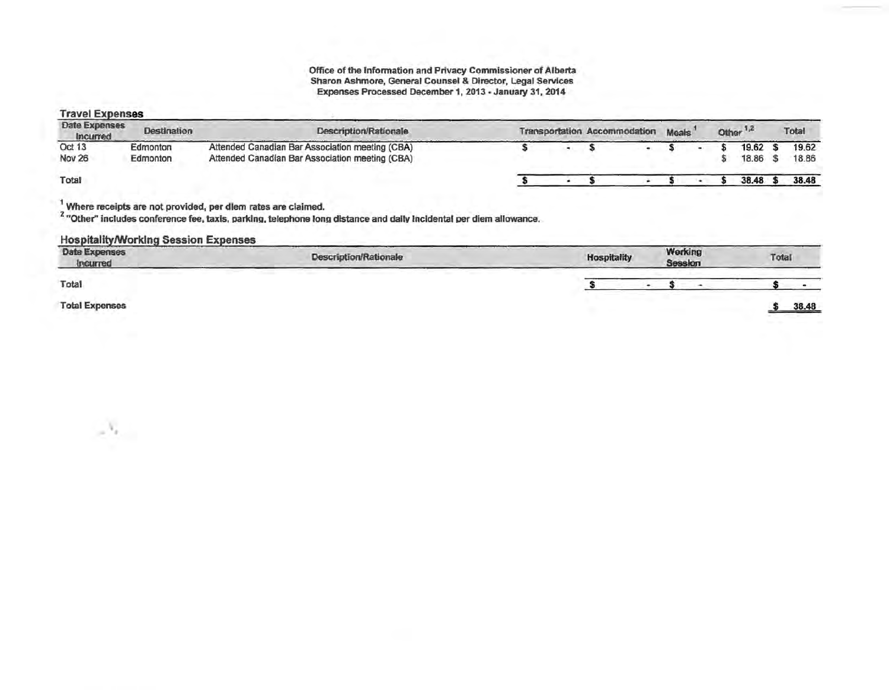## Travel Expenses

·"·

| Date Expenses<br>Incurred | <b>Destination</b>   | Description/Rationale                                                                              |  | <b>Transportation Accommodation</b> | Meals <sup>'</sup> |  | Other <sup>1,2</sup> | Total          |
|---------------------------|----------------------|----------------------------------------------------------------------------------------------------|--|-------------------------------------|--------------------|--|----------------------|----------------|
| Oct 13<br><b>Nov 26</b>   | Edmonton<br>Edmonton | Attended Canadian Bar Association meeting (CBA)<br>Attended Canadian Bar Association meeting (CBA) |  |                                     |                    |  | 19.62<br>18.86       | 19.62<br>18.86 |
| Total                     |                      |                                                                                                    |  |                                     |                    |  | 38.48                | 38.48          |

 $\frac{1}{2}$  Where receipts are not provided, per diem rates are claimed.<br><sup>2</sup> "Other" includes conference fee, taxis, parking, telephone long distance and daily Incidental per diem allowance.

# Hospitality/Working Session Expenses

| <b>Date Expenses</b><br>Incurred | <b>Description/Rationale</b> | <b>Hospitality</b> | Working<br>Session | Total                              |
|----------------------------------|------------------------------|--------------------|--------------------|------------------------------------|
| Total                            | <b><i>Constraint</i></b>     |                    |                    |                                    |
| <b>Total Expenses</b>            |                              |                    |                    | 38.48<br>the state of the state of |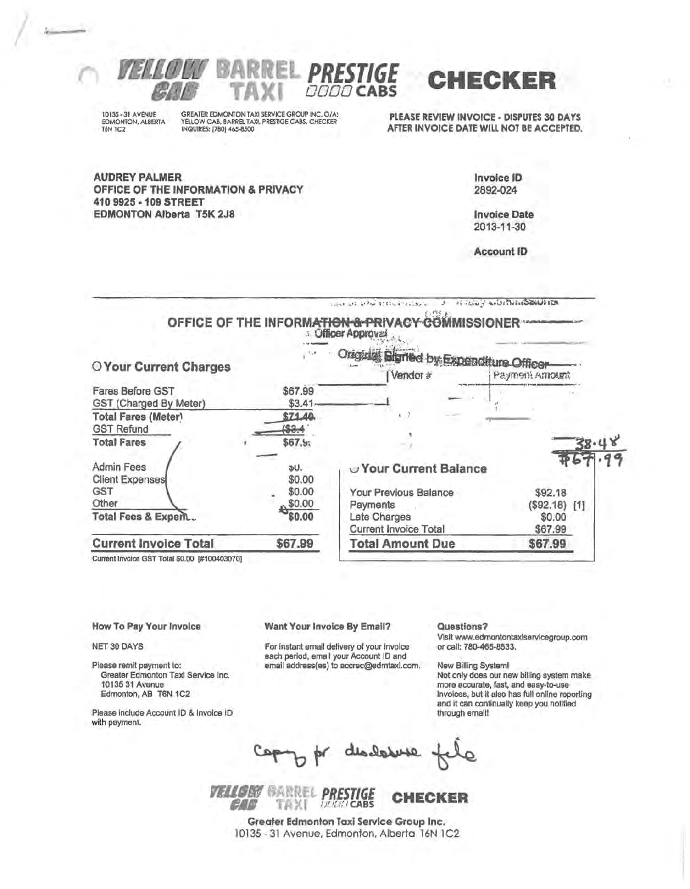

10135 - 31 AVENUE EDMONTON, ALBERTA TAN 1C<sub>2</sub>

GREATER EDMONTON TAXI SERVICE GROUP INC. O/A:<br>YELLOW CAB, BARREL TAXI, PRESTIGE CABS, CHECKER<br>INQUIRES: [780] 465-8500

PLEASE REVIEW INVOICE - DISPUTES 30 DAYS AFTER INVOICE DATE WILL NOT BE ACCEPTED.

**AUDREY PALMER** OFFICE OF THE INFORMATION & PRIVACY 410 9925 - 109 STREET **EDMONTON Alberta T5K 2J8** 

Invoice ID 2892-024

**Invoice Date** 2013-11-30

**Account ID** 

court are and approve the collection OFFICE OF THE INFORMATION & PRIVACY COMMISSIONER \*\* : Officer Approval Origidal Bigmed by Expenditure Officer  $\mathbb{R}^n$ O Your Current Charges Vendor # Payment Amount Fares Before GST \$67.99 GST (Charged By Meter) \$3.41 **Total Fares (Meter)** \$71.40  $($ \$3.4 **GST Refund Total Fares**  $$67.5;$ **Admin Fees** DU. Vour Current Balance **Client Expenses** \$0.00 **GST** \$0.00 Your Previous Balance \$92.18 Other \$0.00 Payments  $($92.18)$  [1] **Total Fees & Expent.** \$0.00 Late Charges \$0.00 **Current Invoice Total** \$67.99 **Current Invoice Total** \$67.99 **Total Amount Due** \$67.99

**DODO CABS** 

Current Invoice GST Total \$0.00 [#100403070]

#### How To Pay Your Invoice

NET 30 DAYS

Please remit payment to: Greater Edmonton Taxi Service Inc. 10135 31 Avenue Edmonton, AB T6N 1C2

Please include Account ID & Invoice ID with payment.

#### Want Your Invoice By Email?

For instant email delivery of your invoice sach period, email your Account ID and email address(es) to accrec@edmtaxl.com. Questions?

Visit www.edmontontaxlservicegroup.com or call: 780-465-8533.

New Billing System! Not only does our new billing system make more accurate, fast, and easy-to-use Invoices, but it also has full online reporting and it can continually keep you notified through email!

disclose

**VELLORY BARREL PRESTIGE** CHECKER TAXI **INNER CABS** CAF .

Greater Edmonton Taxi Service Group Inc. 10135 - 31 Avenue, Edmonton, Alberta T6N 1C2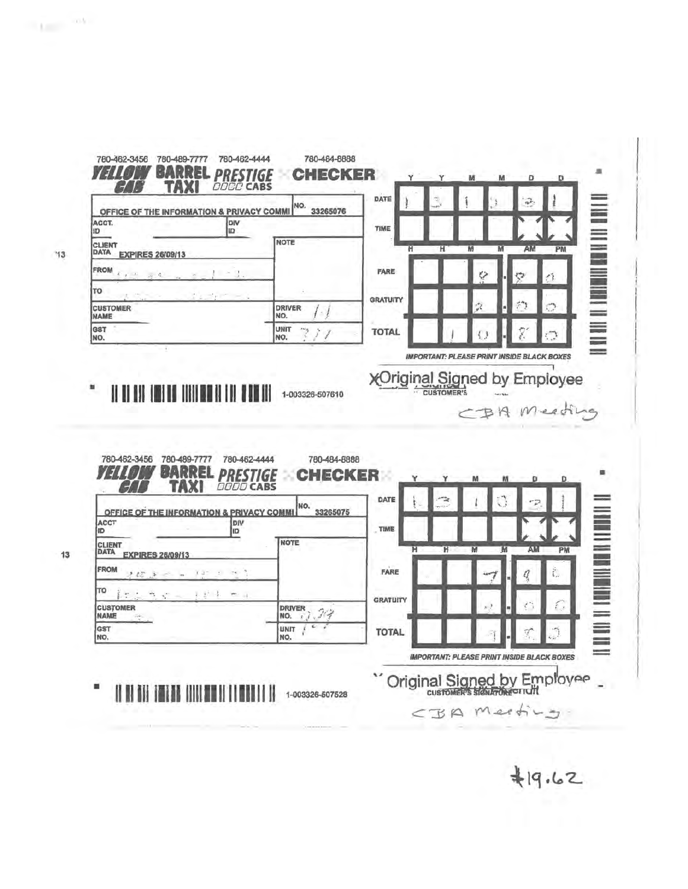| OFFICE OF THE INFORMATION & PRIVACY COMMI                                           | NO.<br>33265076                                                      | DATE                    |   |        | $\widehat{\mathfrak{g}_{\mathcal{P}}}$            |                               |
|-------------------------------------------------------------------------------------|----------------------------------------------------------------------|-------------------------|---|--------|---------------------------------------------------|-------------------------------|
| ACCT.<br><b>ID</b>                                                                  | DIV<br><b>ID</b>                                                     | TIME                    |   |        |                                                   |                               |
| CLIENT<br><b>DATA</b><br><b>EXPIRES 26/09/13</b>                                    | <b>NOTE</b>                                                          | $\overline{\mathsf{H}}$ | Ή | M<br>M | AM                                                | PM                            |
| <b>FROM</b><br>$2 - 2$                                                              |                                                                      | FARE                    |   |        | Ģ                                                 |                               |
| TO                                                                                  |                                                                      | <b>GRATUITY</b>         |   |        |                                                   |                               |
| <b>CUSTOMER</b><br><b>NAME</b>                                                      | <b>DRIVER</b><br>$\frac{1}{\ell}$<br>NO.                             |                         |   |        |                                                   |                               |
| GST<br>NO.                                                                          | <b>UNIT</b><br>Þ<br>ŷ<br>Î<br>NO.                                    | <b>TOTAL</b>            |   |        |                                                   |                               |
|                                                                                     |                                                                      |                         |   |        | <b>IMPORTANT: PLEASE PRINT INSIDE BLACK BOXES</b> |                               |
|                                                                                     | 1-003326-507610                                                      | <b>XOriginal Signed</b> |   |        | CBA Meeting                                       | by Employee                   |
| 780-462-3456<br>780-489-7777<br>B<br>Р                                              | 780-462-4444<br>780-484-8888<br>ECKER<br><b>DODO CABS</b>            |                         | Y | м      | D                                                 | ٠<br>D                        |
| OFFICE OF THE INFORMATION & PRIVACY COMM                                            | NO.<br>33265075                                                      | DATE                    |   |        |                                                   |                               |
|                                                                                     | DIV<br>ID                                                            | TIME                    |   |        |                                                   |                               |
| <b>EXPIRES 26/09/13</b>                                                             | <b>NOTE</b>                                                          | ਸ                       | π | W<br>M | AM                                                | PM                            |
|                                                                                     |                                                                      | FARE                    |   |        | ť.                                                |                               |
|                                                                                     |                                                                      |                         |   |        |                                                   |                               |
| ACCT<br>ID<br><b>CLIENT</b><br>DATA<br>FROM<br>TO<br><b>CUSTOMER</b><br><b>NAME</b> | <b>DRIVER</b><br>$\mathcal{H}_{\mathcal{T}}$<br>NO.<br>$\mathcal{L}$ | <b>GRATUITY</b>         |   |        |                                                   | n                             |
| GST<br>NO.                                                                          | <b>LINIT</b><br>NO.                                                  | <b>TOTAL</b>            |   |        | 啃                                                 | <b>THE REAL PROPERTY OF A</b> |

'13

13

 $\sim 10^{-10}$ 

 $419.62$